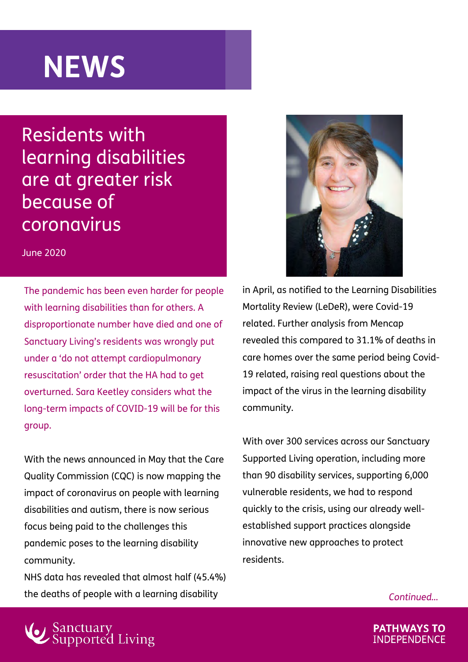## **NEWS**

Residents with [learning disabilities](https://www.sanctuary-supported-living.co.uk/news/disability/supporting-people-with-learning-disabilities-to-stay-connected)  are at greater risk because of coronavirus

June 2020

The pandemic has been even harder for people with learning disabilities than for others. A disproportionate number have died and one of Sanctuary Living's residents was wrongly put under a 'do not attempt cardiopulmonary resuscitation' order that the HA had to get overturned. Sara Keetley considers what the long-term impacts of COVID-19 will be for this group.

With the news announced in May that the Care Quality Commission (CQC) is now mapping the impact of coronavirus on people with learning disabilities and autism, there is now serious focus being paid to the challenges this pandemic poses to the learning disability community.

NHS data has revealed that almost half (45.4%) the deaths of people with a learning disability



in April, as notified to the Learning Disabilities Mortality Review (LeDeR), were Covid-19 related. Further analysis from Mencap revealed this compared to 31.1% of deaths in care homes over the same period being Covid-19 related, raising real questions about the impact of the virus in the learning disability community.

With over 300 services across our Sanctuary Supported Living operation, including more than 90 disability services, supporting 6,000 vulnerable residents, we had to respond quickly to the crisis, using our already wellestablished support practices alongside innovative new approaches to protect residents.

*Continued…*



**PATHWAYS TO INDEPENDENCE**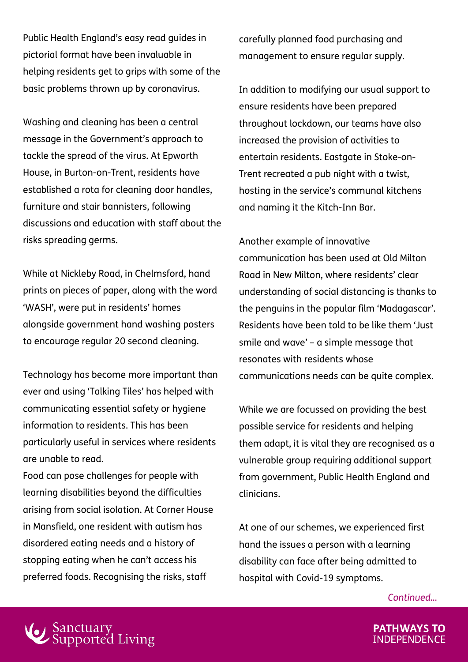Public Health England's easy read guides in pictorial format have been invaluable in helping residents get to grips with some of the basic problems thrown up by coronavirus.

Washing and cleaning has been a central message in the Government's approach to tackle the spread of the virus. At Epworth House, in Burton-on-Trent, residents have established a rota for cleaning door handles, furniture and stair bannisters, following discussions and education with staff about the risks spreading germs.

While at Nickleby Road, in Chelmsford, hand prints on pieces of paper, along with the word 'WASH', were put in residents' homes alongside government hand washing posters to encourage regular 20 second cleaning.

Technology has become more important than ever and using 'Talking Tiles' has helped with communicating essential safety or hygiene information to residents. This has been particularly useful in services where residents are unable to read.

Food can pose challenges for people with learning disabilities beyond the difficulties arising from social isolation. At Corner House in Mansfield, one resident with autism has disordered eating needs and a history of stopping eating when he can't access his preferred foods. Recognising the risks, staff

carefully planned food purchasing and management to ensure regular supply.

In addition to modifying our usual support to ensure residents have been prepared throughout lockdown, our teams have also increased the provision of activities to entertain residents. Eastgate in Stoke-on-Trent recreated a pub night with a twist, hosting in the service's communal kitchens and naming it the Kitch-Inn Bar.

Another example of innovative communication has been used at Old Milton Road in New Milton, where residents' clear understanding of social distancing is thanks to the penguins in the popular film 'Madagascar'. Residents have been told to be like them 'Just smile and wave' – a simple message that resonates with residents whose communications needs can be quite complex.

While we are focussed on providing the best possible service for residents and helping them adapt, it is vital they are recognised as a vulnerable group requiring additional support from government, Public Health England and clinicians.

At one of our schemes, we experienced first hand the issues a person with a learning disability can face after being admitted to hospital with Covid-19 symptoms.

*Continued…*



**PATHWAYS TO INDEPENDENCE**